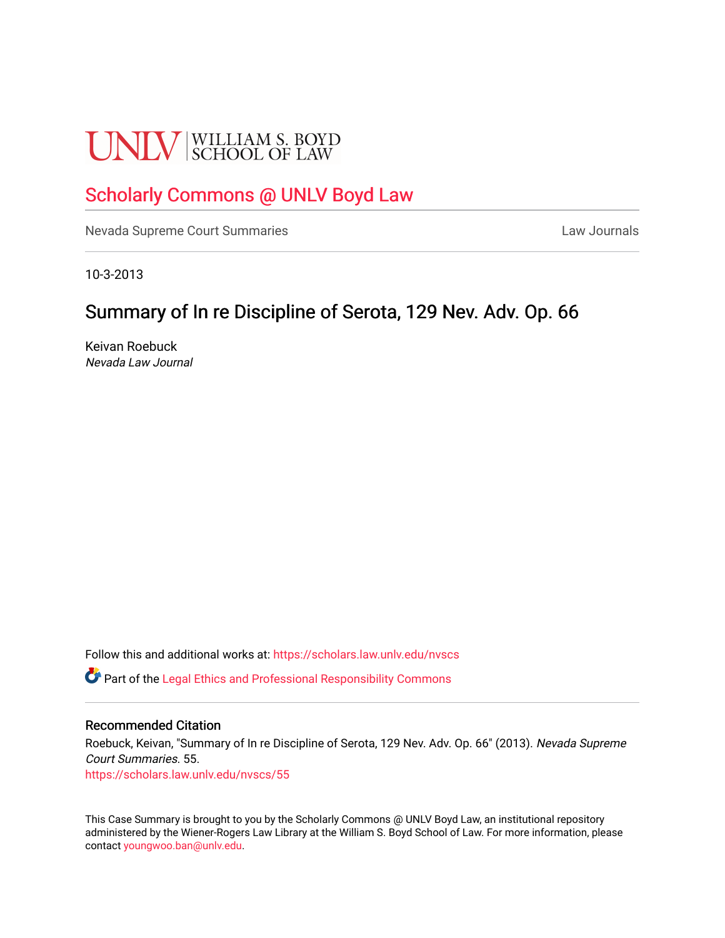# **UNLV** SCHOOL OF LAW

## [Scholarly Commons @ UNLV Boyd Law](https://scholars.law.unlv.edu/)

[Nevada Supreme Court Summaries](https://scholars.law.unlv.edu/nvscs) **Law Journals** Law Journals

10-3-2013

# Summary of In re Discipline of Serota, 129 Nev. Adv. Op. 66

Keivan Roebuck Nevada Law Journal

Follow this and additional works at: [https://scholars.law.unlv.edu/nvscs](https://scholars.law.unlv.edu/nvscs?utm_source=scholars.law.unlv.edu%2Fnvscs%2F55&utm_medium=PDF&utm_campaign=PDFCoverPages)

**C** Part of the [Legal Ethics and Professional Responsibility Commons](http://network.bepress.com/hgg/discipline/895?utm_source=scholars.law.unlv.edu%2Fnvscs%2F55&utm_medium=PDF&utm_campaign=PDFCoverPages)

#### Recommended Citation

Roebuck, Keivan, "Summary of In re Discipline of Serota, 129 Nev. Adv. Op. 66" (2013). Nevada Supreme Court Summaries. 55. [https://scholars.law.unlv.edu/nvscs/55](https://scholars.law.unlv.edu/nvscs/55?utm_source=scholars.law.unlv.edu%2Fnvscs%2F55&utm_medium=PDF&utm_campaign=PDFCoverPages) 

This Case Summary is brought to you by the Scholarly Commons @ UNLV Boyd Law, an institutional repository administered by the Wiener-Rogers Law Library at the William S. Boyd School of Law. For more information, please contact [youngwoo.ban@unlv.edu](mailto:youngwoo.ban@unlv.edu).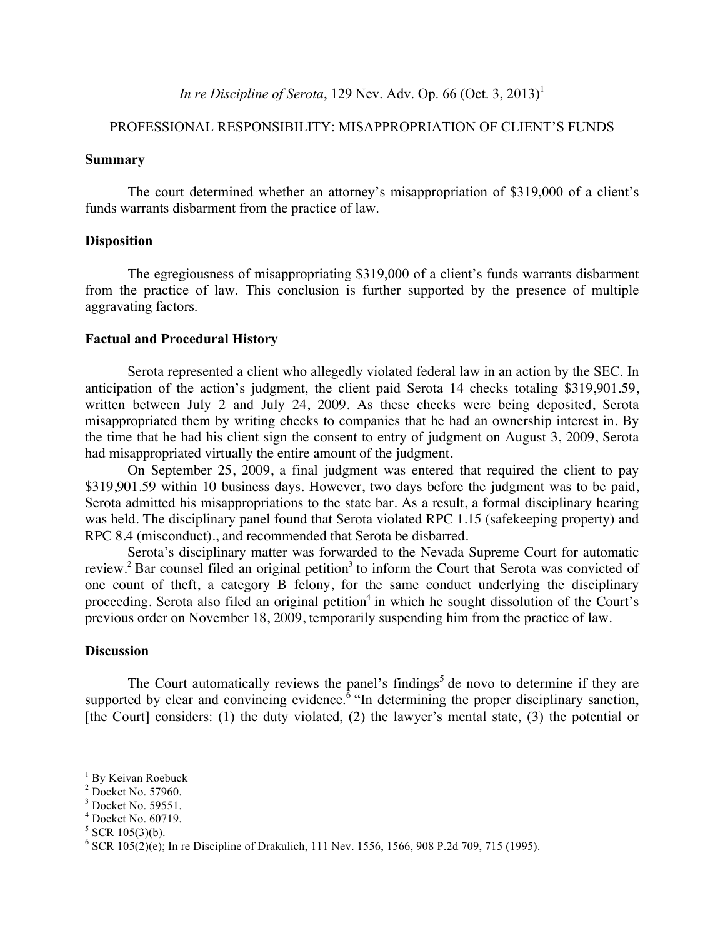## *In re Discipline of Serota*, 129 Nev. Adv. Op. 66 (Oct. 3, 2013)<sup>1</sup>

### PROFESSIONAL RESPONSIBILITY: MISAPPROPRIATION OF CLIENT'S FUNDS

#### **Summary**

The court determined whether an attorney's misappropriation of \$319,000 of a client's funds warrants disbarment from the practice of law.

#### **Disposition**

The egregiousness of misappropriating \$319,000 of a client's funds warrants disbarment from the practice of law. This conclusion is further supported by the presence of multiple aggravating factors.

#### **Factual and Procedural History**

Serota represented a client who allegedly violated federal law in an action by the SEC. In anticipation of the action's judgment, the client paid Serota 14 checks totaling \$319,901.59, written between July 2 and July 24, 2009. As these checks were being deposited, Serota misappropriated them by writing checks to companies that he had an ownership interest in. By the time that he had his client sign the consent to entry of judgment on August 3, 2009, Serota had misappropriated virtually the entire amount of the judgment.

On September 25, 2009, a final judgment was entered that required the client to pay \$319,901.59 within 10 business days. However, two days before the judgment was to be paid, Serota admitted his misappropriations to the state bar. As a result, a formal disciplinary hearing was held. The disciplinary panel found that Serota violated RPC 1.15 (safekeeping property) and RPC 8.4 (misconduct)., and recommended that Serota be disbarred.

Serota's disciplinary matter was forwarded to the Nevada Supreme Court for automatic review.<sup>2</sup> Bar counsel filed an original petition<sup>3</sup> to inform the Court that Serota was convicted of one count of theft, a category B felony, for the same conduct underlying the disciplinary proceeding. Serota also filed an original petition<sup>4</sup> in which he sought dissolution of the Court's previous order on November 18, 2009, temporarily suspending him from the practice of law.

#### **Discussion**

The Court automatically reviews the panel's findings<sup>5</sup> de novo to determine if they are supported by clear and convincing evidence.<sup> $\delta$ </sup> "In determining the proper disciplinary sanction, [the Court] considers: (1) the duty violated, (2) the lawyer's mental state, (3) the potential or

<sup>&</sup>lt;sup>1</sup> By Keivan Roebuck

<sup>2</sup> Docket No. 57960.

<sup>&</sup>lt;sup>3</sup> Docket No. 59551.

<sup>4</sup> Docket No. 60719.

 $5$  SCR 105(3)(b).

 $6$  SCR 105(2)(e); In re Discipline of Drakulich, 111 Nev. 1556, 1566, 908 P.2d 709, 715 (1995).